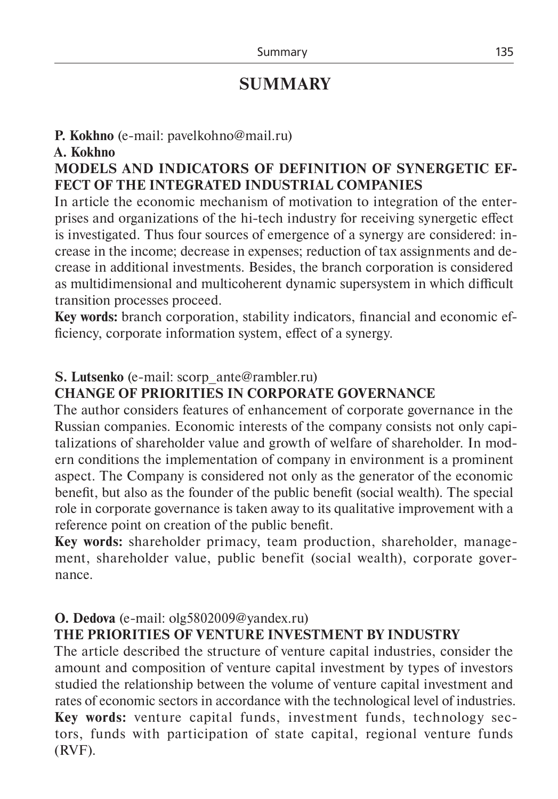# **SUMMARY**

## **P. Kokhno** (e-mail: pavelkohno@mail.ru)

#### **A. Kokhno**

## **MODELS AND INDICATORS OF DEFINITION OF SYNERGETIC EF-FECT OF THE INTEGRATED INDUSTRIAL COMPANIES**

In article the economic mechanism of motivation to integration of the enterprises and organizations of the hi-tech industry for receiving synergetic effect is investigated. Thus four sources of emergence of a synergy are considered: increase in the income; decrease in expenses; reduction of tax assignments and decrease in additional investments. Besides, the branch corporation is considered as multidimensional and multicoherent dynamic supersystem in which difficult transition processes proceed.

**Key words:** branch corporation, stability indicators, financial and economic efficiency, corporate information system, effect of a synergy.

## **S. Lutsenko** (e-mail: scorp\_ante@rambler.ru)

## **CHANGE OF PRIORITIES IN CORPORATE GOVERNANCE**

The author considers features of enhancement of corporate governance in the Russian companies. Economic interests of the company consists not only capitalizations of shareholder value and growth of welfare of shareholder. In modern conditions the implementation of company in environment is a prominent aspect. The Company is considered not only as the generator of the economic benefit, but also as the founder of the public benefit (social wealth). The special role in corporate governance is taken away to its qualitative improvement with a reference point on creation of the public benefit.

**Key words:** shareholder primacy, team production, shareholder, management, shareholder value, public benefit (social wealth), corporate governance.

## **O. Dedova** (e-mail: olg5802009@yandex.ru)

## **THE PRIORITIES OF VENTURE INVESTMENT BY INDUSTRY**

The article described the structure of venture capital industries, consider the amount and composition of venture capital investment by types of investors studied the relationship between the volume of venture capital investment and rates of economic sectors in accordance with the technological level of industries. **Key words:** venture capital funds, investment funds, technology sectors, funds with participation of state capital, regional venture funds (RVF).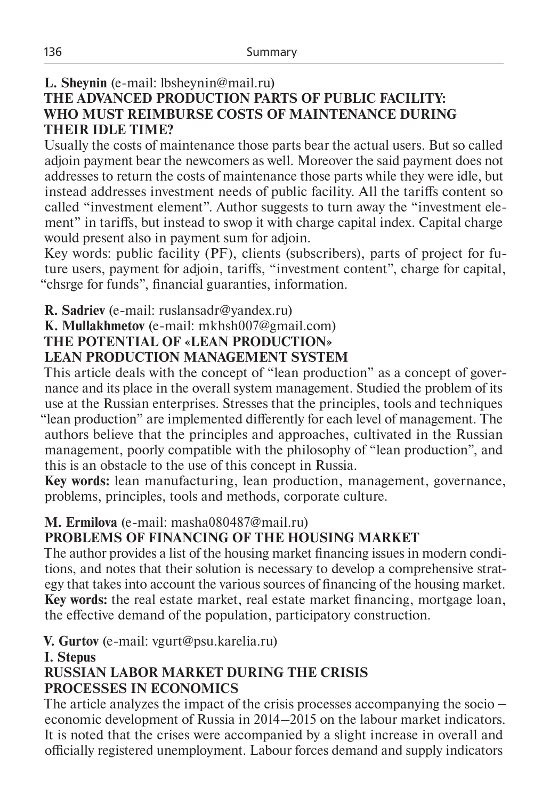## **L. Sheynin** (e-mail: lbsheynin@mail.ru)

### **THE ADVANCED PRODUCTION PARTS OF PUBLIC FACILITY: WHO MUST REIMBURSE COSTS OF MAINTENANCE DURING THEIR IDLE TIME?**

Usually the costs of maintenance those parts bear the actual users. But so called adjoin payment bear the newcomers as well. Moreover the said payment does not addresses to return the costs of maintenance those parts while they were idle, but instead addresses investment needs of public facility. All the tariffs content so called "investment element". Author suggests to turn away the "investment element" in tariffs, but instead to swop it with charge capital index. Capital charge would present also in payment sum for adjoin.

Key words: public facility (PF), clients (subscribers), parts of project for future users, payment for adjoin, tariffs, "investment content", charge for capital, "chsrge for funds", financial guaranties, information.

## **R. Sadriev** (е-mail: ruslansadr@yandex.ru)

**K. Mullakhmetov** (е-mail: mkhsh007@gmail.com)

### **THE POTENTIAL OF «LEAN PRODUCTION»**

## **LEAN PRODUCTION MANAGEMENT SYSTEM**

This article deals with the concept of "lean production" as a concept of governance and its place in the overall system management. Studied the problem of its use at the Russian enterprises. Stresses that the principles, tools and techniques "lean production" are implemented differently for each level of management. The authors believe that the principles and approaches, cultivated in the Russian management, poorly compatible with the philosophy of "lean production", and this is an obstacle to the use of this concept in Russia.

**Key words:** lean manufacturing, lean production, management, governance, problems, principles, tools and methods, corporate culture.

## **M. Ermilova** (e-mail: masha080487@mail.ru)

## **PROBLEMS OF FINANCING OF THE HOUSING MARKET**

The author provides a list of the housing market financing issues in modern conditions, and notes that their solution is necessary to develop a comprehensive strategy that takes into account the various sources of financing of the housing market. **Key words:** the real estate market, real estate market financing, mortgage loan, the effective demand of the population, participatory construction.

**V. Gurtov** (e-mail: vgurt@psu.karelia.ru)

#### **I. Stepus**

## **RUSSIAN LABOR MARKET DURING THE CRISIS PROCESSES IN ECONOMICS**

The article analyzes the impact of the crisis processes accompanying the socio – economic development of Russia in 2014–2015 on the labour market indicators. It is noted that the crises were accompanied by a slight increase in overall and officially registered unemployment. Labour forces demand and supply indicators